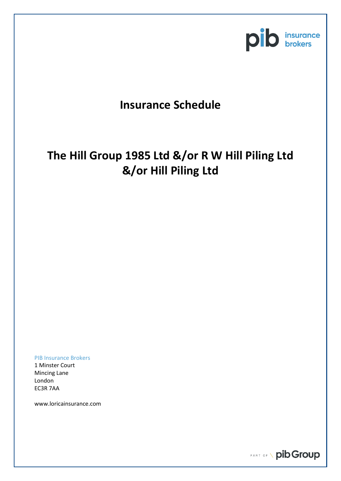

## **Insurance Schedule**

# **The Hill Group 1985 Ltd &/or R W Hill Piling Ltd &/or Hill Piling Ltd**

PIB Insurance Brokers

1 Minster Court Mincing Lane London EC3R 7AA

www.loricainsurance.com

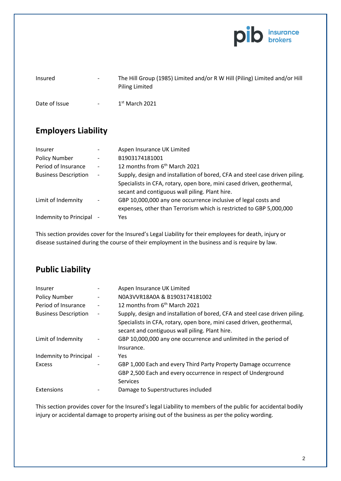

| Insured       | $\overline{\phantom{a}}$ | The Hill Group (1985) Limited and/or R W Hill (Piling) Limited and/or Hill<br>Piling Limited |
|---------------|--------------------------|----------------------------------------------------------------------------------------------|
| Date of Issue | $\sim$ $-$               | $1st$ March 2021                                                                             |

### **Employers Liability**

| <b>Insurer</b>              |                              | Aspen Insurance UK Limited                                                                                                                                                                             |
|-----------------------------|------------------------------|--------------------------------------------------------------------------------------------------------------------------------------------------------------------------------------------------------|
| <b>Policy Number</b>        | $\overline{\phantom{a}}$     | B1903174181001                                                                                                                                                                                         |
| Period of Insurance         | $\overline{\phantom{a}}$     | 12 months from 6 <sup>th</sup> March 2021                                                                                                                                                              |
| <b>Business Description</b> | $\overline{\phantom{a}}$     | Supply, design and installation of bored, CFA and steel case driven piling.<br>Specialists in CFA, rotary, open bore, mini cased driven, geothermal,<br>secant and contiguous wall piling. Plant hire. |
| Limit of Indemnity          | $\qquad \qquad \blacksquare$ | GBP 10,000,000 any one occurrence inclusive of legal costs and<br>expenses, other than Terrorism which is restricted to GBP 5,000,000                                                                  |
| Indemnity to Principal      |                              | <b>Yes</b>                                                                                                                                                                                             |

This section provides cover for the Insured's Legal Liability for their employees for death, injury or disease sustained during the course of their employment in the business and is require by law.

#### **Public Liability**

| Insurer                     | Aspen Insurance UK Limited                                                                                                                                                                             |
|-----------------------------|--------------------------------------------------------------------------------------------------------------------------------------------------------------------------------------------------------|
| <b>Policy Number</b>        | N0A3VVR18A0A & B1903174181002                                                                                                                                                                          |
| Period of Insurance         | 12 months from 6 <sup>th</sup> March 2021                                                                                                                                                              |
| <b>Business Description</b> | Supply, design and installation of bored, CFA and steel case driven piling.<br>Specialists in CFA, rotary, open bore, mini cased driven, geothermal,<br>secant and contiguous wall piling. Plant hire. |
| Limit of Indemnity          | GBP 10,000,000 any one occurrence and unlimited in the period of<br>Insurance.                                                                                                                         |
| Indemnity to Principal      | Yes.                                                                                                                                                                                                   |
| <b>Excess</b>               | GBP 1,000 Each and every Third Party Property Damage occurrence<br>GBP 2,500 Each and every occurrence in respect of Underground<br>Services                                                           |
| Extensions                  | Damage to Superstructures included                                                                                                                                                                     |

This section provides cover for the Insured's legal Liability to members of the public for accidental bodily injury or accidental damage to property arising out of the business as per the policy wording.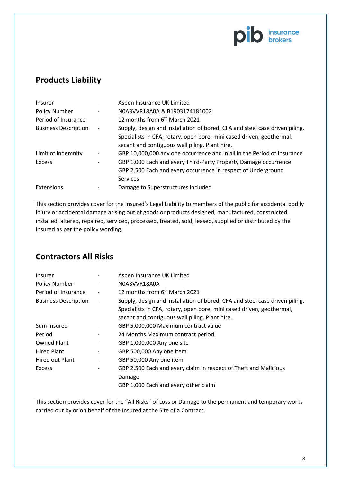

#### **Products Liability**

| <b>Insurer</b>              |                              | Aspen Insurance UK Limited                                                  |
|-----------------------------|------------------------------|-----------------------------------------------------------------------------|
| <b>Policy Number</b>        | $\overline{\phantom{a}}$     | N0A3VVR18A0A & B1903174181002                                               |
| Period of Insurance         |                              | 12 months from 6 <sup>th</sup> March 2021                                   |
| <b>Business Description</b> | $\qquad \qquad \blacksquare$ | Supply, design and installation of bored, CFA and steel case driven piling. |
|                             |                              | Specialists in CFA, rotary, open bore, mini cased driven, geothermal,       |
|                             |                              | secant and contiguous wall piling. Plant hire.                              |
| Limit of Indemnity          | $\overline{\phantom{a}}$     | GBP 10,000,000 any one occurrence and in all in the Period of Insurance     |
| <b>Excess</b>               |                              | GBP 1,000 Each and every Third-Party Property Damage occurrence             |
|                             |                              | GBP 2,500 Each and every occurrence in respect of Underground               |
|                             |                              | <b>Services</b>                                                             |
| Extensions                  |                              | Damage to Superstructures included                                          |

This section provides cover for the Insured's Legal Liability to members of the public for accidental bodily injury or accidental damage arising out of goods or products designed, manufactured, constructed, installed, altered, repaired, serviced, processed, treated, sold, leased, supplied or distributed by the Insured as per the policy wording.

#### **Contractors All Risks**

| <b>Insurer</b>              |                              | Aspen Insurance UK Limited                                                  |
|-----------------------------|------------------------------|-----------------------------------------------------------------------------|
| Policy Number               |                              | N0A3VVR18A0A                                                                |
| Period of Insurance         | $\overline{\phantom{0}}$     | 12 months from 6 <sup>th</sup> March 2021                                   |
| <b>Business Description</b> | $\qquad \qquad \blacksquare$ | Supply, design and installation of bored, CFA and steel case driven piling. |
|                             |                              | Specialists in CFA, rotary, open bore, mini cased driven, geothermal,       |
|                             |                              | secant and contiguous wall piling. Plant hire.                              |
| Sum Insured                 |                              | GBP 5,000,000 Maximum contract value                                        |
| Period                      | $\qquad \qquad \blacksquare$ | 24 Months Maximum contract period                                           |
| <b>Owned Plant</b>          | $\overline{a}$               | GBP 1,000,000 Any one site                                                  |
| <b>Hired Plant</b>          | $\qquad \qquad \blacksquare$ | GBP 500,000 Any one item                                                    |
| Hired out Plant             | $\qquad \qquad \blacksquare$ | GBP 50,000 Any one item                                                     |
| <b>Excess</b>               |                              | GBP 2,500 Each and every claim in respect of Theft and Malicious            |
|                             |                              | Damage                                                                      |
|                             |                              | GBP 1,000 Each and every other claim                                        |

This section provides cover for the "All Risks" of Loss or Damage to the permanent and temporary works carried out by or on behalf of the Insured at the Site of a Contract.